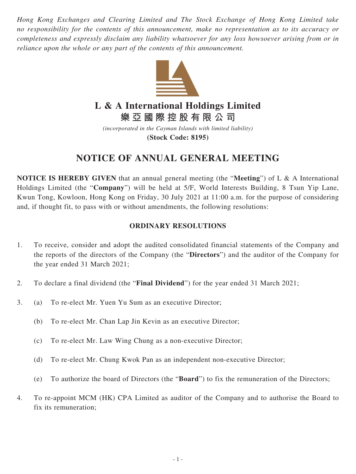*Hong Kong Exchanges and Clearing Limited and The Stock Exchange of Hong Kong Limited take no responsibility for the contents of this announcement, make no representation as to its accuracy or completeness and expressly disclaim any liability whatsoever for any loss howsoever arising from or in reliance upon the whole or any part of the contents of this announcement.*



# **L & A International Holdings Limited**

**樂亞國際控股有限公司**

*(incorporated in the Cayman Islands with limited liability)* **(Stock Code: 8195)**

# **NOTICE OF ANNUAL GENERAL MEETING**

**NOTICE IS HEREBY GIVEN** that an annual general meeting (the "**Meeting**") of L & A International Holdings Limited (the "**Company**") will be held at 5/F, World Interests Building, 8 Tsun Yip Lane, Kwun Tong, Kowloon, Hong Kong on Friday, 30 July 2021 at 11:00 a.m. for the purpose of considering and, if thought fit, to pass with or without amendments, the following resolutions:

## **ORDINARY RESOLUTIONS**

- 1. To receive, consider and adopt the audited consolidated financial statements of the Company and the reports of the directors of the Company (the "**Directors**") and the auditor of the Company for the year ended 31 March 2021;
- 2. To declare a final dividend (the "**Final Dividend**") for the year ended 31 March 2021;
- 3. (a) To re-elect Mr. Yuen Yu Sum as an executive Director;
	- (b) To re-elect Mr. Chan Lap Jin Kevin as an executive Director;
	- (c) To re-elect Mr. Law Wing Chung as a non-executive Director;
	- (d) To re-elect Mr. Chung Kwok Pan as an independent non-executive Director;
	- (e) To authorize the board of Directors (the "**Board**") to fix the remuneration of the Directors;
- 4. To re-appoint MCM (HK) CPA Limited as auditor of the Company and to authorise the Board to fix its remuneration;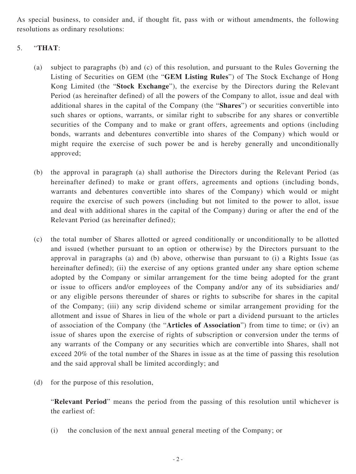As special business, to consider and, if thought fit, pass with or without amendments, the following resolutions as ordinary resolutions:

### 5. "**THAT**:

- (a) subject to paragraphs (b) and (c) of this resolution, and pursuant to the Rules Governing the Listing of Securities on GEM (the "**GEM Listing Rules**") of The Stock Exchange of Hong Kong Limited (the "**Stock Exchange**"), the exercise by the Directors during the Relevant Period (as hereinafter defined) of all the powers of the Company to allot, issue and deal with additional shares in the capital of the Company (the "**Shares**") or securities convertible into such shares or options, warrants, or similar right to subscribe for any shares or convertible securities of the Company and to make or grant offers, agreements and options (including bonds, warrants and debentures convertible into shares of the Company) which would or might require the exercise of such power be and is hereby generally and unconditionally approved;
- (b) the approval in paragraph (a) shall authorise the Directors during the Relevant Period (as hereinafter defined) to make or grant offers, agreements and options (including bonds, warrants and debentures convertible into shares of the Company) which would or might require the exercise of such powers (including but not limited to the power to allot, issue and deal with additional shares in the capital of the Company) during or after the end of the Relevant Period (as hereinafter defined);
- (c) the total number of Shares allotted or agreed conditionally or unconditionally to be allotted and issued (whether pursuant to an option or otherwise) by the Directors pursuant to the approval in paragraphs (a) and (b) above, otherwise than pursuant to (i) a Rights Issue (as hereinafter defined); (ii) the exercise of any options granted under any share option scheme adopted by the Company or similar arrangement for the time being adopted for the grant or issue to officers and/or employees of the Company and/or any of its subsidiaries and/ or any eligible persons thereunder of shares or rights to subscribe for shares in the capital of the Company; (iii) any scrip dividend scheme or similar arrangement providing for the allotment and issue of Shares in lieu of the whole or part a dividend pursuant to the articles of association of the Company (the "**Articles of Association**") from time to time; or (iv) an issue of shares upon the exercise of rights of subscription or conversion under the terms of any warrants of the Company or any securities which are convertible into Shares, shall not exceed 20% of the total number of the Shares in issue as at the time of passing this resolution and the said approval shall be limited accordingly; and
- (d) for the purpose of this resolution,

"**Relevant Period**" means the period from the passing of this resolution until whichever is the earliest of:

(i) the conclusion of the next annual general meeting of the Company; or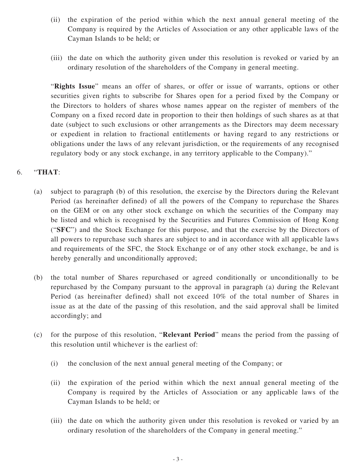- (ii) the expiration of the period within which the next annual general meeting of the Company is required by the Articles of Association or any other applicable laws of the Cayman Islands to be held; or
- (iii) the date on which the authority given under this resolution is revoked or varied by an ordinary resolution of the shareholders of the Company in general meeting.

"**Rights Issue**" means an offer of shares, or offer or issue of warrants, options or other securities given rights to subscribe for Shares open for a period fixed by the Company or the Directors to holders of shares whose names appear on the register of members of the Company on a fixed record date in proportion to their then holdings of such shares as at that date (subject to such exclusions or other arrangements as the Directors may deem necessary or expedient in relation to fractional entitlements or having regard to any restrictions or obligations under the laws of any relevant jurisdiction, or the requirements of any recognised regulatory body or any stock exchange, in any territory applicable to the Company)."

### 6. "**THAT**:

- (a) subject to paragraph (b) of this resolution, the exercise by the Directors during the Relevant Period (as hereinafter defined) of all the powers of the Company to repurchase the Shares on the GEM or on any other stock exchange on which the securities of the Company may be listed and which is recognised by the Securities and Futures Commission of Hong Kong ("**SFC**") and the Stock Exchange for this purpose, and that the exercise by the Directors of all powers to repurchase such shares are subject to and in accordance with all applicable laws and requirements of the SFC, the Stock Exchange or of any other stock exchange, be and is hereby generally and unconditionally approved;
- (b) the total number of Shares repurchased or agreed conditionally or unconditionally to be repurchased by the Company pursuant to the approval in paragraph (a) during the Relevant Period (as hereinafter defined) shall not exceed 10% of the total number of Shares in issue as at the date of the passing of this resolution, and the said approval shall be limited accordingly; and
- (c) for the purpose of this resolution, "**Relevant Period**" means the period from the passing of this resolution until whichever is the earliest of:
	- (i) the conclusion of the next annual general meeting of the Company; or
	- (ii) the expiration of the period within which the next annual general meeting of the Company is required by the Articles of Association or any applicable laws of the Cayman Islands to be held; or
	- (iii) the date on which the authority given under this resolution is revoked or varied by an ordinary resolution of the shareholders of the Company in general meeting."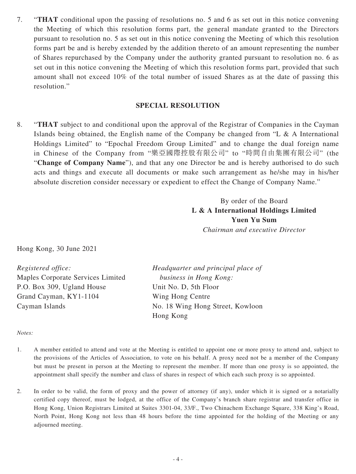7. "**THAT** conditional upon the passing of resolutions no. 5 and 6 as set out in this notice convening the Meeting of which this resolution forms part, the general mandate granted to the Directors pursuant to resolution no. 5 as set out in this notice convening the Meeting of which this resolution forms part be and is hereby extended by the addition thereto of an amount representing the number of Shares repurchased by the Company under the authority granted pursuant to resolution no. 6 as set out in this notice convening the Meeting of which this resolution forms part, provided that such amount shall not exceed 10% of the total number of issued Shares as at the date of passing this resolution."

#### **SPECIAL RESOLUTION**

8. "**THAT** subject to and conditional upon the approval of the Registrar of Companies in the Cayman Islands being obtained, the English name of the Company be changed from "L & A International Holdings Limited" to "Epochal Freedom Group Limited" and to change the dual foreign name in Chinese of the Company from "樂亞國際控股有限公司" to "時間自由集團有限公司" (the "**Change of Company Name**"), and that any one Director be and is hereby authorised to do such acts and things and execute all documents or make such arrangement as he/she may in his/her absolute discretion consider necessary or expedient to effect the Change of Company Name."

> By order of the Board **L & A International Holdings Limited Yuen Yu Sum** *Chairman and executive Director*

Hong Kong, 30 June 2021

*Registered office:* Maples Corporate Services Limited P.O. Box 309, Ugland House Grand Cayman, KY1-1104 Cayman Islands

*Headquarter and principal place of business in Hong Kong:* Unit No. D, 5th Floor Wing Hong Centre No. 18 Wing Hong Street, Kowloon Hong Kong

#### *Notes:*

- 1. A member entitled to attend and vote at the Meeting is entitled to appoint one or more proxy to attend and, subject to the provisions of the Articles of Association, to vote on his behalf. A proxy need not be a member of the Company but must be present in person at the Meeting to represent the member. If more than one proxy is so appointed, the appointment shall specify the number and class of shares in respect of which each such proxy is so appointed.
- 2. In order to be valid, the form of proxy and the power of attorney (if any), under which it is signed or a notarially certified copy thereof, must be lodged, at the office of the Company's branch share registrar and transfer office in Hong Kong, Union Registrars Limited at Suites 3301-04, 33/F., Two Chinachem Exchange Square, 338 King's Road, North Point, Hong Kong not less than 48 hours before the time appointed for the holding of the Meeting or any adjourned meeting.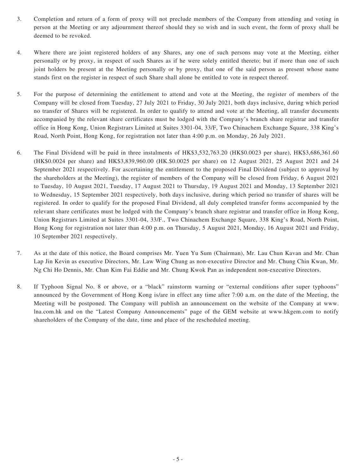- 3. Completion and return of a form of proxy will not preclude members of the Company from attending and voting in person at the Meeting or any adjournment thereof should they so wish and in such event, the form of proxy shall be deemed to be revoked.
- 4. Where there are joint registered holders of any Shares, any one of such persons may vote at the Meeting, either personally or by proxy, in respect of such Shares as if he were solely entitled thereto; but if more than one of such joint holders be present at the Meeting personally or by proxy, that one of the said person as present whose name stands first on the register in respect of such Share shall alone be entitled to vote in respect thereof.
- 5. For the purpose of determining the entitlement to attend and vote at the Meeting, the register of members of the Company will be closed from Tuesday, 27 July 2021 to Friday, 30 July 2021, both days inclusive, during which period no transfer of Shares will be registered. In order to qualify to attend and vote at the Meeting, all transfer documents accompanied by the relevant share certificates must be lodged with the Company's branch share registrar and transfer office in Hong Kong, Union Registrars Limited at Suites 3301-04, 33/F, Two Chinachem Exchange Square, 338 King's Road, North Point, Hong Kong, for registration not later than 4:00 p.m. on Monday, 26 July 2021.
- 6. The Final Dividend will be paid in three instalments of HK\$3,532,763.20 (HK\$0.0023 per share), HK\$3,686,361.60 (HK\$0.0024 per share) and HK\$3,839,960.00 (HK.\$0.0025 per share) on 12 August 2021, 25 August 2021 and 24 September 2021 respectively. For ascertaining the entitlement to the proposed Final Dividend (subject to approval by the shareholders at the Meeting), the register of members of the Company will be closed from Friday, 6 August 2021 to Tuesday, 10 August 2021, Tuesday, 17 August 2021 to Thursday, 19 August 2021 and Monday, 13 September 2021 to Wednesday, 15 September 2021 respectively, both days inclusive, during which period no transfer of shares will be registered. In order to qualify for the proposed Final Dividend, all duly completed transfer forms accompanied by the relevant share certificates must be lodged with the Company's branch share registrar and transfer office in Hong Kong, Union Registrars Limited at Suites 3301-04, 33/F., Two Chinachem Exchange Square, 338 King's Road, North Point, Hong Kong for registration not later than 4:00 p.m. on Thursday, 5 August 2021, Monday, 16 August 2021 and Friday, 10 September 2021 respectively.
- 7. As at the date of this notice, the Board comprises Mr. Yuen Yu Sum (Chairman), Mr. Lau Chun Kavan and Mr. Chan Lap Jin Kevin as executive Directors, Mr. Law Wing Chung as non-executive Director and Mr. Chung Chin Kwan, Mr. Ng Chi Ho Dennis, Mr. Chan Kim Fai Eddie and Mr. Chung Kwok Pan as independent non-executive Directors.
- 8. If Typhoon Signal No. 8 or above, or a "black" rainstorm warning or "external conditions after super typhoons" announced by the Government of Hong Kong is/are in effect any time after 7:00 a.m. on the date of the Meeting, the Meeting will be postponed. The Company will publish an announcement on the website of the Company at www. lna.com.hk and on the "Latest Company Announcements" page of the GEM website at www.hkgem.com to notify shareholders of the Company of the date, time and place of the rescheduled meeting.